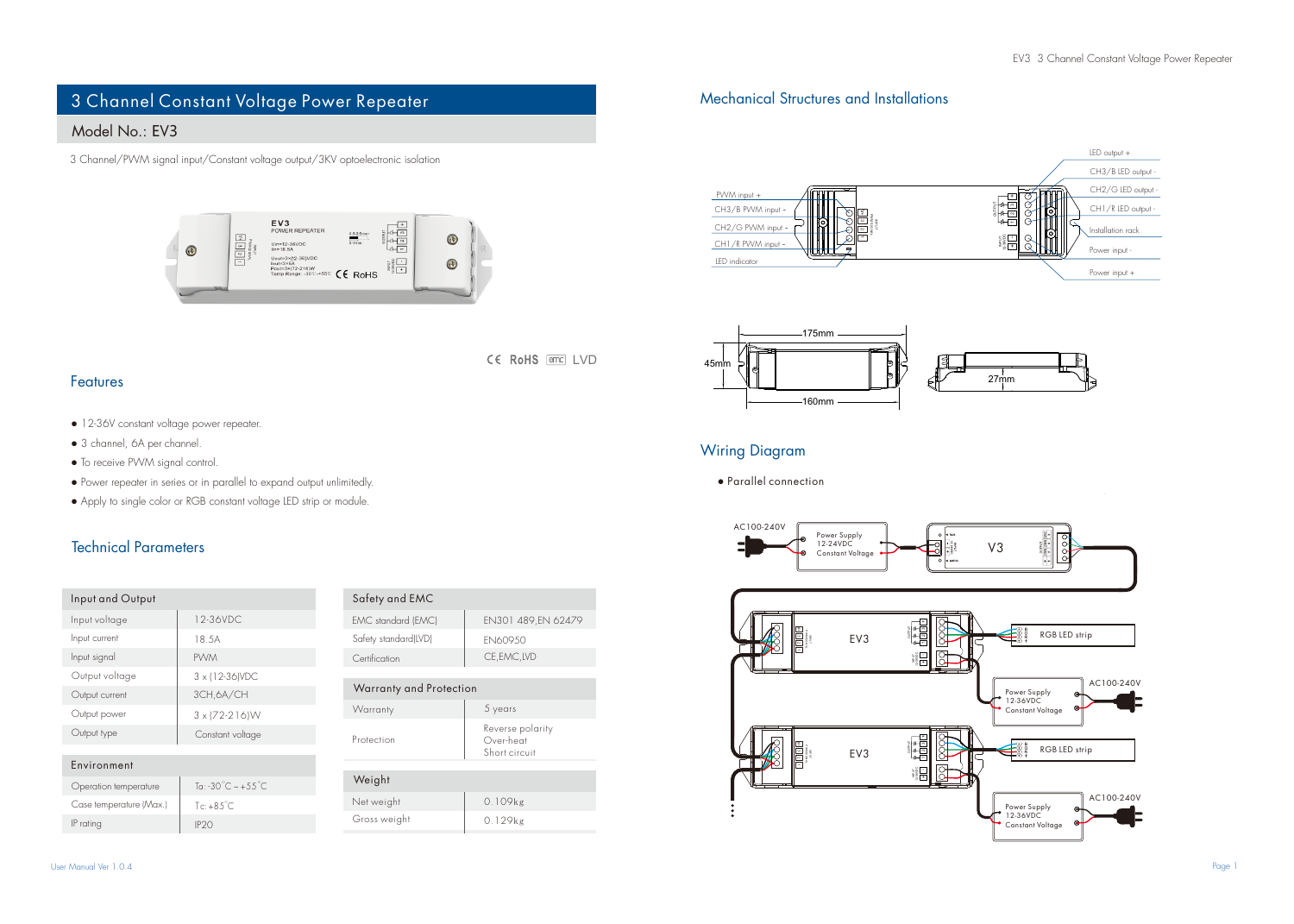# 3 Channel Constant Voltage Power Repeater

## Model No.: FV3

3 Channel/PWM signal input/Constant voltage output/3KV optoelectronic isolation



Mechanical Structures and Installations





## Wiring Diagram

● Parallel connection



#### Features

- 12-36V constant voltage power repeater.
- 3 channel, 6A per channel.
- To receive PWM signal control.
- Power repeater in series or in parallel to expand output unlimitedly.
- Apply to single color or RGB constant voltage LED strip or module.

 $Tc: +85^{\circ}C$ 

#### Technical Parameters

| Input and Output      |                           | Safety and EMC          |                                                |
|-----------------------|---------------------------|-------------------------|------------------------------------------------|
| Input voltage         | 12-36VDC                  | EMC standard (EMC)      | EN301 489.EN 62479                             |
| Input current         | 18.5A                     | Safety standard(LVD)    | FN60950                                        |
| Input signal          | <b>PVVM</b>               | Certification           | CE.EMC.LVD                                     |
| Output voltage        | 3 x 112-36 NDC            |                         |                                                |
| Output current        | 3CH.6A/CH                 | Warranty and Protection |                                                |
| Output power          | $3 \times 72 - 216$       | Warranty                | 5 years                                        |
| Output type           | Constant voltage          | Protection              | Reverse polarity<br>Over-heat<br>Short circuit |
| Environment           |                           |                         |                                                |
| Operation temperature | To: -30 °C $\sim$ +55 °C. | Weight                  |                                                |

| Safety standard(LVD)    | <b>FN60950</b>                                 |  |  |  |  |
|-------------------------|------------------------------------------------|--|--|--|--|
| Certification           | CE.EMC.LVD                                     |  |  |  |  |
|                         |                                                |  |  |  |  |
| Warranty and Protection |                                                |  |  |  |  |
| Warranty                | 5 years                                        |  |  |  |  |
| Protection              | Reverse polarity<br>Over-heat<br>Short circuit |  |  |  |  |
|                         |                                                |  |  |  |  |

CE RoHS and IVD

| Weight       |         |
|--------------|---------|
| Net weight   | 0.109kg |
| Gross weight | 0.129kg |

Case temperature (Max.)

IP rating P20